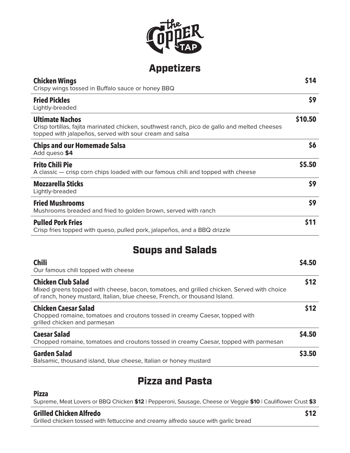

# Appetizers

| <b>Chicken Wings</b><br>Crispy wings tossed in Buffalo sauce or honey BBQ                                                                                                         | \$14    |
|-----------------------------------------------------------------------------------------------------------------------------------------------------------------------------------|---------|
| <b>Fried Pickles</b><br>Lightly-breaded                                                                                                                                           | \$9     |
| <b>Ultimate Nachos</b><br>Crisp tortillas, fajita marinated chicken, southwest ranch, pico de gallo and melted cheeses<br>topped with jalapeños, served with sour cream and salsa | \$10.50 |
| <b>Chips and our Homemade Salsa</b><br>Add queso \$4                                                                                                                              | \$6     |
| <b>Frito Chili Pie</b><br>A classic - crisp corn chips loaded with our famous chili and topped with cheese                                                                        | \$5.50  |
| <b>Mozzarella Sticks</b><br>Lightly-breaded                                                                                                                                       | \$9     |
| <b>Fried Mushrooms</b><br>Mushrooms breaded and fried to golden brown, served with ranch                                                                                          | \$9     |
| <b>Pulled Pork Fries</b><br>Crisp fries topped with queso, pulled pork, jalapeños, and a BBQ drizzle                                                                              | \$11    |
|                                                                                                                                                                                   |         |

## Soups and Salads

| <b>Chili</b><br>Our famous chili topped with cheese                                                                                                                                                  | \$4.50 |
|------------------------------------------------------------------------------------------------------------------------------------------------------------------------------------------------------|--------|
| <b>Chicken Club Salad</b><br>Mixed greens topped with cheese, bacon, tomatoes, and grilled chicken. Served with choice<br>of ranch, honey mustard, Italian, blue cheese, French, or thousand Island. | \$12   |
| <b>Chicken Caesar Salad</b><br>Chopped romaine, tomatoes and croutons tossed in creamy Caesar, topped with<br>grilled chicken and parmesan                                                           | \$12   |
| <b>Caesar Salad</b><br>Chopped romaine, tomatoes and croutons tossed in creamy Caesar, topped with parmesan                                                                                          | \$4.50 |
| <b>Garden Salad</b><br>Balsamic, thousand island, blue cheese, Italian or honey mustard                                                                                                              | \$3.50 |

# Pizza and Pasta

#### **Pizza**

Supreme, Meat Lovers or BBQ Chicken **\$12** | Pepperoni, Sausage, Cheese or Veggie **\$10** | Cauliflower Crust **\$3**

#### **Grilled Chicken Alfredo**

Grilled chicken tossed with fettuccine and creamy alfredo sauce with garlic bread